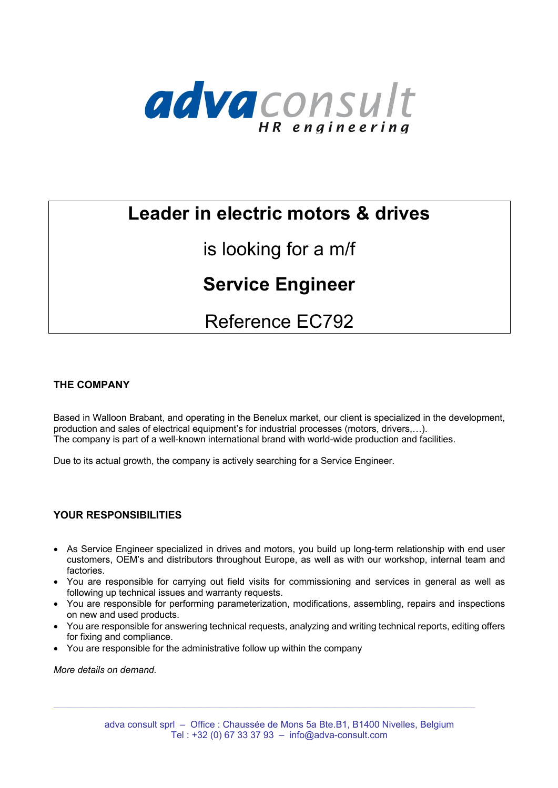

# **Leader in electric motors & drives**

# is looking for a m/f

## **Service Engineer**

# Reference EC792

### **THE COMPANY**

Based in Walloon Brabant, and operating in the Benelux market, our client is specialized in the development, production and sales of electrical equipment's for industrial processes (motors, drivers,…). The company is part of a well-known international brand with world-wide production and facilities.

Due to its actual growth, the company is actively searching for a Service Engineer.

### **YOUR RESPONSIBILITIES**

- As Service Engineer specialized in drives and motors, you build up long-term relationship with end user customers, OEM's and distributors throughout Europe, as well as with our workshop, internal team and factories.
- You are responsible for carrying out field visits for commissioning and services in general as well as following up technical issues and warranty requests.
- You are responsible for performing parameterization, modifications, assembling, repairs and inspections on new and used products.
- You are responsible for answering technical requests, analyzing and writing technical reports, editing offers for fixing and compliance.
- You are responsible for the administrative follow up within the company

*More details on demand.*